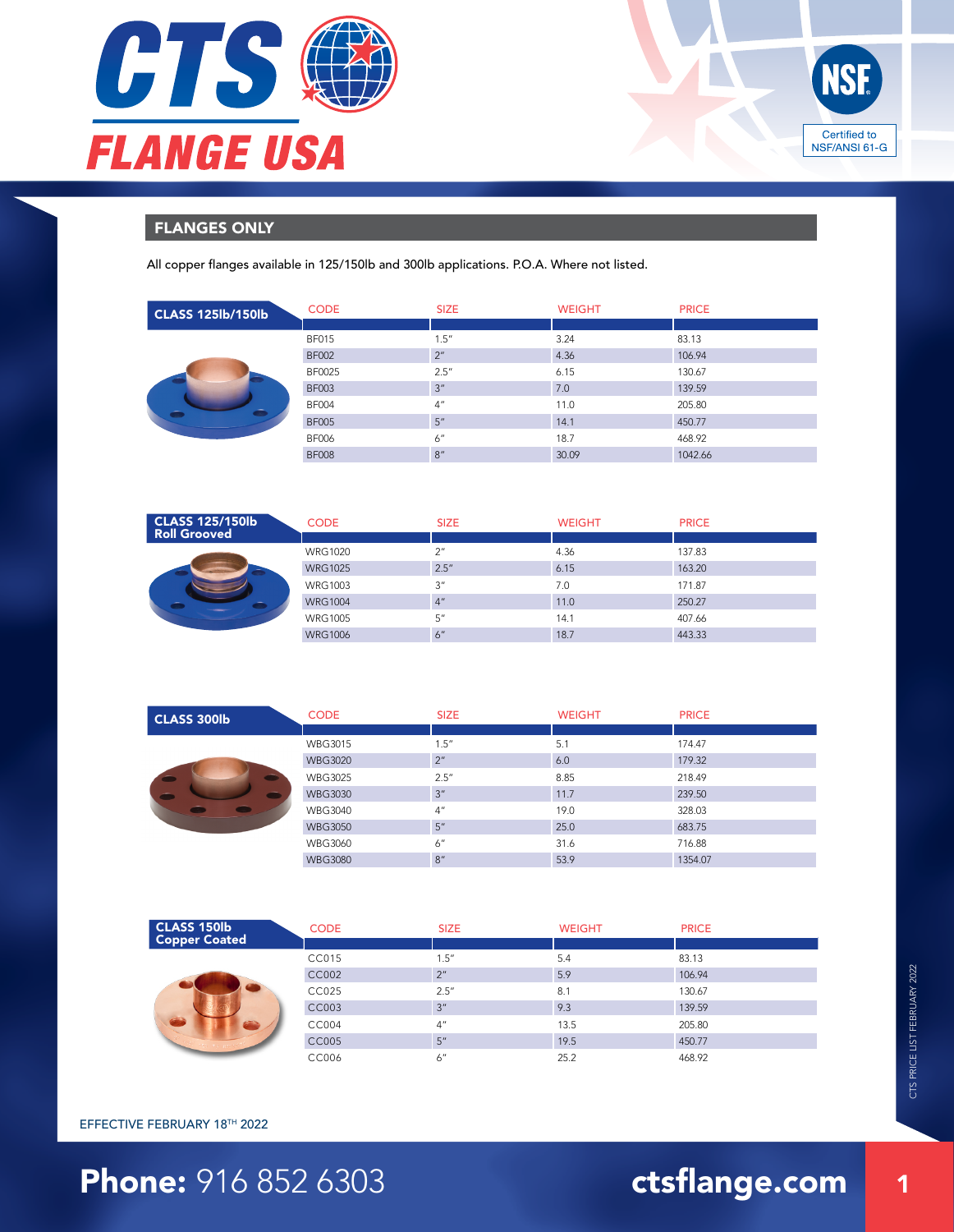



## FLANGES ONLY

All copper flanges available in 125/150lb and 300lb applications. P.O.A. Where not listed.

| <b>CLASS 125lb/150lb</b> | <b>CODE</b>  | <b>SIZE</b>     | <b>WEIGHT</b> | <b>PRICE</b> |
|--------------------------|--------------|-----------------|---------------|--------------|
|                          |              |                 |               |              |
|                          | <b>BF015</b> | 1.5''           | 3.24          | 83.13        |
|                          | <b>BF002</b> | 2 <sup>n</sup>  | 4.36          | 106.94       |
|                          | BF0025       | 2.5''           | 6.15          | 130.67       |
|                          | <b>BF003</b> | 3''             | 7.0           | 139.59       |
|                          | <b>BF004</b> | 4 <sup>''</sup> | 11.0          | 205.80       |
|                          | <b>BF005</b> | 5''             | 14.1          | 450.77       |
|                          | <b>BF006</b> | 6"              | 18.7          | 468.92       |
|                          | <b>BF008</b> | 8''             | 30.09         | 1042.66      |

| <b>CLASS 125/150lb</b><br><b>Roll Grooved</b> | <b>CODE</b>    | <b>SIZE</b> | <b>WEIGHT</b> | <b>PRICE</b> |
|-----------------------------------------------|----------------|-------------|---------------|--------------|
|                                               |                |             |               |              |
|                                               | <b>WRG1020</b> | 2''         | 4.36          | 137.83       |
|                                               | <b>WRG1025</b> | 2.5''       | 6.15          | 163.20       |
|                                               | <b>WRG1003</b> | 3''         | 7.0           | 171.87       |
|                                               | <b>WRG1004</b> | 4"          | 11.0          | 250.27       |
|                                               | <b>WRG1005</b> | 5''         | 14.1          | 407.66       |
|                                               | <b>WRG1006</b> | 6"          | 18.7          | 443.33       |

| <b>CLASS 300lb</b> | <b>CODE</b>    | <b>SIZE</b>     | <b>WEIGHT</b> | <b>PRICE</b> |
|--------------------|----------------|-----------------|---------------|--------------|
|                    |                |                 |               |              |
|                    | <b>WBG3015</b> | 1.5''           | 5.1           | 174.47       |
|                    | <b>WBG3020</b> | 2 <sup>n</sup>  | 6.0           | 179.32       |
|                    | WBG3025        | 2.5''           | 8.85          | 218.49       |
|                    | <b>WBG3030</b> | 3 <sup>''</sup> | 11.7          | 239.50       |
|                    | <b>WBG3040</b> | 4 <sup>''</sup> | 19.0          | 328.03       |
|                    | <b>WBG3050</b> | 5"              | 25.0          | 683.75       |
|                    | WBG3060        | 6"              | 31.6          | 716.88       |
|                    | <b>WBG3080</b> | 8''             | 53.9          | 1354.07      |

| <b>CLASS 150lb</b>   | <b>CODE</b> | <b>SIZE</b>     | <b>WEIGHT</b> | <b>PRICE</b> |
|----------------------|-------------|-----------------|---------------|--------------|
| <b>Copper Coated</b> |             |                 |               |              |
|                      | CC015       | 1.5''           | 5.4           | 83.13        |
|                      | CC002       | 2 <sup>n</sup>  | 5.9           | 106.94       |
|                      | CC025       | 2.5''           | 8.1           | 130.67       |
|                      | CC003       | 3''             | 9.3           | 139.59       |
|                      | CC004       | 4 <sup>''</sup> | 13.5          | 205.80       |
|                      | CC005       | 5''             | 19.5          | 450.77       |
|                      | CC006       | 6"              | 25.2          | 468.92       |

### EFFECTIVE FEBRUARY 18TH 2022

# **Phone: 916 852 6303 ctsflange.com**

1